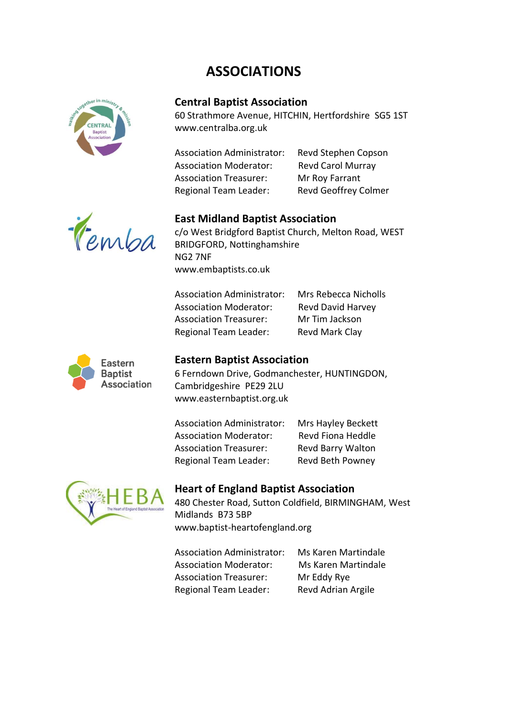# **ASSOCIATIONS**



# **Central Baptist Association**

60 Strathmore Avenue, HITCHIN, Hertfordshire SG5 1ST www.centralba.org.uk

| Revd Stephen Copson         |
|-----------------------------|
| <b>Revd Carol Murray</b>    |
| Mr Roy Farrant              |
| <b>Revd Geoffrey Colmer</b> |
|                             |



### **East Midland Baptist Association**

c/o West Bridgford Baptist Church, Melton Road, WEST BRIDGFORD, Nottinghamshire NG2 7NF www.embaptists.co.uk

Association Administrator: Mrs Rebecca Nicholls Association Moderator: Revd David Harvey Association Treasurer: Mr Tim Jackson Regional Team Leader: Revd Mark Clay



### **Eastern Baptist Association**

6 Ferndown Drive, Godmanchester, HUNTINGDON, Cambridgeshire PE29 2LU www.easternbaptist.org.uk

Association Administrator: Mrs Hayley Beckett Association Moderator: Revd Fiona Heddle Association Treasurer: Revd Barry Walton Regional Team Leader: Revd Beth Powney



# **Heart of England Baptist Association**

480 Chester Road, Sutton Coldfield, BIRMINGHAM, West Midlands B73 5BP www.baptist-heartofengland.org

Association Administrator: Ms Karen Martindale Association Moderator: Ms Karen Martindale Association Treasurer: Mr Eddy Rye Regional Team Leader: Revd Adrian Argile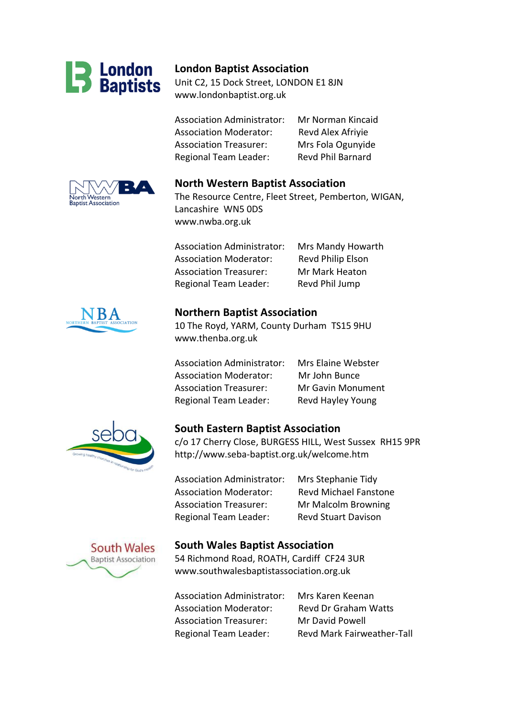

### **London Baptist Association**

Unit C2, 15 Dock Street, LONDON E1 8JN www.londonbaptist.org.uk

Association Administrator: Mr Norman Kincaid Association Moderator: Revd Alex Afriyie Association Treasurer: Mrs Fola Ogunyide Regional Team Leader: Revd Phil Barnard



www.nwba.org.uk

Association Administrator: Mrs Mandy Howarth Association Moderator: Revd Philip Elson Association Treasurer: Mr Mark Heaton Regional Team Leader: Revd Phil Jump



### **Northern Baptist Association**

10 The Royd, YARM, County Durham TS15 9HU www.thenba.org.uk

Association Administrator: Mrs Elaine Webster Association Moderator: Mr John Bunce Association Treasurer: Mr Gavin Monument Regional Team Leader: Revd Hayley Young



### **South Eastern Baptist Association**

c/o 17 Cherry Close, BURGESS HILL, West Sussex RH15 9PR http://www.seba-baptist.org.uk/welcome.htm

Association Administrator: Mrs Stephanie Tidy Association Moderator: Revd Michael Fanstone Association Treasurer: Mr Malcolm Browning Regional Team Leader: Revd Stuart Davison



### **South Wales Baptist Association**

54 Richmond Road, ROATH, Cardiff CF24 3UR www.southwalesbaptistassociation.org.uk

Association Administrator: Mrs Karen Keenan Association Moderator: Revd Dr Graham Watts Association Treasurer: Mr David Powell Regional Team Leader: Revd Mark Fairweather-Tall

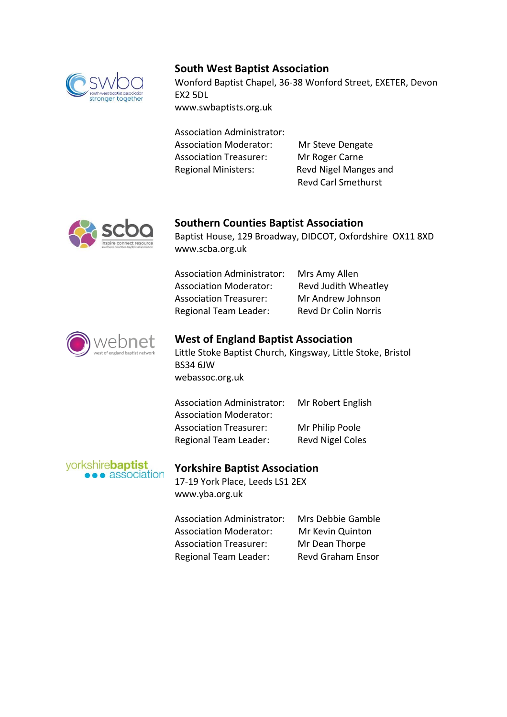

# **South West Baptist Association**

Wonford Baptist Chapel, 36-38 Wonford Street, EXETER, Devon EX2 5DL www.swbaptists.org.uk

Association Administrator: Association Moderator: Mr Steve Dengate Association Treasurer: Mr Roger Carne Regional Ministers: Revd Nigel Manges and

Revd Carl Smethurst



### **Southern Counties Baptist Association**

Baptist House, 129 Broadway, DIDCOT, Oxfordshire OX11 8XD www.scba.org.uk

| <b>Association Administrator:</b> | Mrs Amy Allen               |
|-----------------------------------|-----------------------------|
| <b>Association Moderator:</b>     | Revd Judith Wheatley        |
| <b>Association Treasurer:</b>     | Mr Andrew Johnson           |
| <b>Regional Team Leader:</b>      | <b>Revd Dr Colin Norris</b> |



# **West of England Baptist Association** Little Stoke Baptist Church, Kingsway, Little Stoke, Bristol BS34 6JW

webassoc.org.uk

| <b>Association Administrator:</b> | Mr Robert English       |
|-----------------------------------|-------------------------|
| <b>Association Moderator:</b>     |                         |
| <b>Association Treasurer:</b>     | Mr Philip Poole         |
| Regional Team Leader:             | <b>Revd Nigel Coles</b> |

#### yorkshire**baptist e** association

### **Yorkshire Baptist Association**

17-19 York Place, Leeds LS1 2EX www.yba.org.uk

| <b>Association Administrator:</b> | Mrs Debbie Gamble        |
|-----------------------------------|--------------------------|
| <b>Association Moderator:</b>     | Mr Kevin Quinton         |
| <b>Association Treasurer:</b>     | Mr Dean Thorpe           |
| <b>Regional Team Leader:</b>      | <b>Revd Graham Ensor</b> |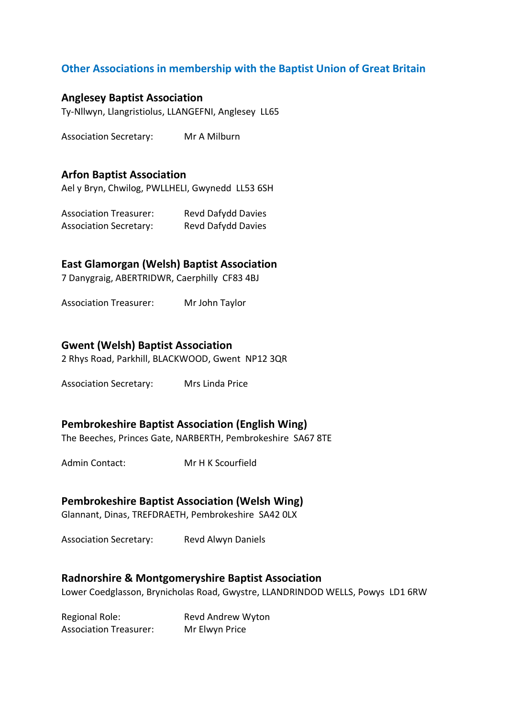# **Other Associations in membership with the Baptist Union of Great Britain**

### **Anglesey Baptist Association**

Ty-Nllwyn, Llangristiolus, LLANGEFNI, Anglesey LL65

Association Secretary: Mr A Milburn

### **Arfon Baptist Association**

Ael y Bryn, Chwilog, PWLLHELI, Gwynedd LL53 6SH

Association Treasurer: Revd Dafydd Davies Association Secretary: Revd Dafydd Davies

### **East Glamorgan (Welsh) Baptist Association**

7 Danygraig, ABERTRIDWR, Caerphilly CF83 4BJ

Association Treasurer: Mr John Taylor

#### **Gwent (Welsh) Baptist Association**

2 Rhys Road, Parkhill, BLACKWOOD, Gwent NP12 3QR

Association Secretary: Mrs Linda Price

### **Pembrokeshire Baptist Association (English Wing)**

The Beeches, Princes Gate, NARBERTH, Pembrokeshire SA67 8TE

Admin Contact: Mr H K Scourfield

#### **Pembrokeshire Baptist Association (Welsh Wing)**

Glannant, Dinas, TREFDRAETH, Pembrokeshire SA42 0LX

Association Secretary: Revd Alwyn Daniels

#### **Radnorshire & Montgomeryshire Baptist Association**

Lower Coedglasson, Brynicholas Road, Gwystre, LLANDRINDOD WELLS, Powys LD1 6RW

Regional Role: Revd Andrew Wyton Association Treasurer: Mr Elwyn Price